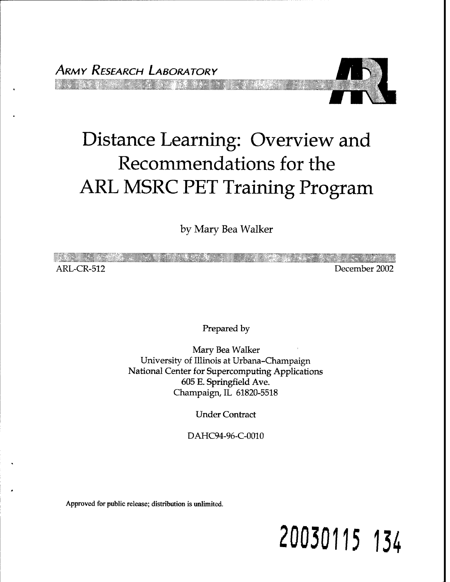

# Distance Learning: Overview and Recommendations for the ARL MSRC PET Training Program

by Mary Bea Walker

| 97 SI SEMBERG |               |
|---------------|---------------|
| ARL-CR-512    | December 2002 |

Prepared by

Mary Bea Walker University of Illinois at Urbana-Champaign National Center for Supercomputing Applications 605 E. Springfield Ave. Champaign, IL 61820-5518

Under Contract

DAHC94-96-C-0010

Approved for public release; distribution is unlimited.

# **20030115 134**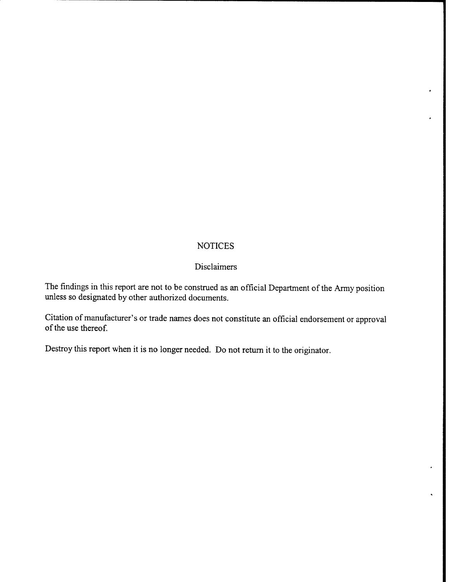#### **NOTICES**

#### Disclaimers

The findings in this report are not to be construed as an official Department of the Army position unless so designated by other authorized documents.

Citation of manufacturer's or trade names does not constitute an official endorsement or approval of the use thereof.

Destroy this report when it is no longer needed. Do not return it to the originator.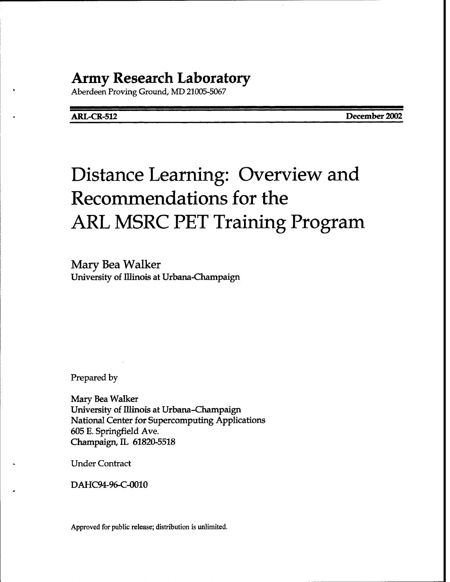### **Army Research Laboratory**

Aberdeen Proving Ground, MD 21005-5067

**ARL-CR-512 December 2002**

## Distance Learning: Overview and Recommendations for the ARL MSRC PET Training Program

Mary Bea Walker University of Illinois at Urbana-Champaign

Prepared by

Mary Bea Walker University of Illinois at Urbana-Champaign National Center for Supercomputing Applications 605 E. Springfield Ave. Champaign, IL 61820-5518

Under Contract

DAHC94-96-C-0010

Approved for public release; distribution is unlimited.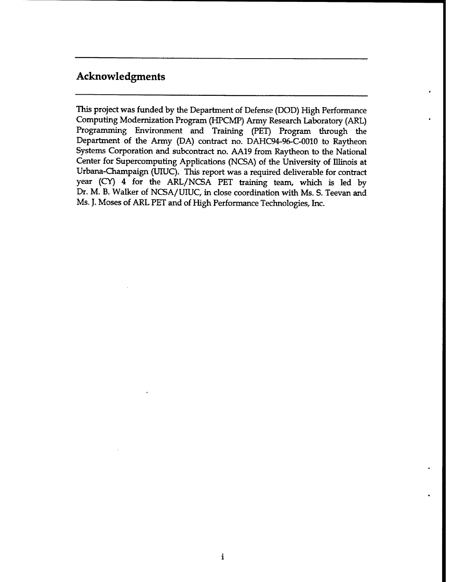#### Acknowledgments

This project was funded by the Department of Defense (DOD) High Performance Computing Modernization Program (HPCMP) Army Research Laboratory (ARL) Programming Environment and Training (PET) Program through the Department of the Army (DA) contract no. DAHC94-96-C-0010 to Raytheon Systems Corporation and subcontract no. AA19 from Raytheon to the National Center for Supercomputing Applications (NCSA) of the University of Illinois at Urbana-Champaign (UIUC). This report was a required deliverable for contract year (CY) 4 for the ARL/NCSA PET training team, which is led by Dr. M. B. Walker of NCSA/UTUC, in close coordination with Ms. S. Teevan and Ms. J. Moses of ARL PET and of High Performance Technologies, Inc.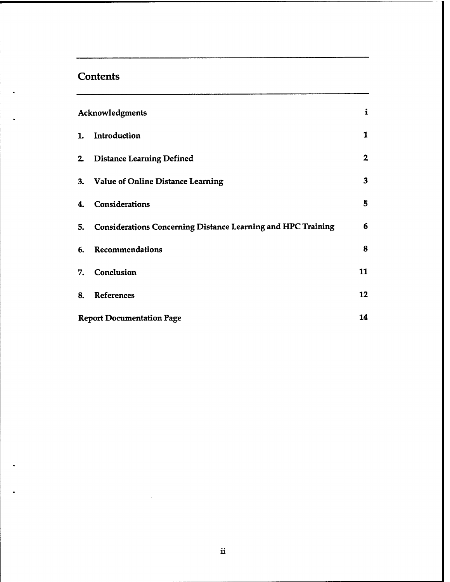#### **Contents**

| Acknowledgments |                                                                 |                         |  |  |
|-----------------|-----------------------------------------------------------------|-------------------------|--|--|
| 1.              | Introduction                                                    | $\mathbf{1}$            |  |  |
|                 | 2. Distance Learning Defined                                    | $\overline{\mathbf{2}}$ |  |  |
|                 | 3. Value of Online Distance Learning                            | 3                       |  |  |
| 4.              | Considerations                                                  | 5                       |  |  |
|                 | 5. Considerations Concerning Distance Learning and HPC Training | 6                       |  |  |
|                 | 6. Recommendations                                              | 8                       |  |  |
|                 | 7. Conclusion                                                   | 11                      |  |  |
|                 | 8. References                                                   | 12                      |  |  |
|                 | <b>Report Documentation Page</b>                                | 14                      |  |  |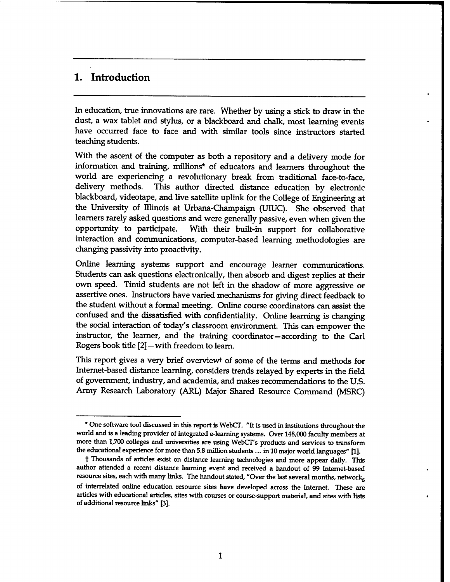#### 1. Introduction

In education, true innovations are rare. Whether by using a stick to draw in the dust, a wax tablet and stylus, or a blackboard and chalk, most learning events have occurred face to face and with similar tools since instructors started teaching students.

With the ascent of the computer as both a repository and a delivery mode for information and training, millions\* of educators and learners throughout the world are experiencing a revolutionary break from traditional face-to-face, delivery methods. This author directed distance education by electronic blackboard, videotape, and live satellite uplink for the College of Engineering at the University of Illinois at Urbana-Champaign (UIUC). She observed that learners rarely asked questions and were generally passive, even when given the opportunity to participate. With their built-in support for collaborative interaction and communications, computer-based learning methodologies are changing passivity into proactivity.

Online learning systems support and encourage learner communications. Students can ask questions electronically, then absorb and digest replies at their own speed. Timid students are not left in the shadow of more aggressive or assertive ones. Instructors have varied mechanisms for giving direct feedback to the student without a formal meeting. Online course coordinators can assist the confused and the dissatisfied with confidentiality. Online learning is changing the social interaction of today's classroom environment. This can empower the instructor, the learner, and the training coordinator—according to the Carl Rogers book title [2]—with freedom to learn.

This report gives a very brief overviewt of some of the terms and methods for Internet-based distance learning, considers trends relayed by experts in the field of government, industry, and academia, and makes recommendations to the U.S. Army Research Laboratory (ARL) Major Shared Resource Command (MSRC)

<sup>\*</sup> One software tool discussed in this report is WebCT. "It is used in institutions throughout the world and is a leading provider of integrated e-learning systems. Over 148,000 faculty members at more than 1,700 colleges and universities are using WebCT's products and services to transform the educational experience for more than 5.8 million students... in 10 major world languages" [1].

t Thousands of articles exist on distance learning technologies and more appear daily. This author attended a recent distance learning event and received a handout of 99 Internet-based resource sites, each with many links. The handout stated, "Over the last several months, networks of interrelated online education resource sites have developed across the Internet. These are articles with educational articles, sites with courses or course-support material, and sites with lists of additional resource links" [3].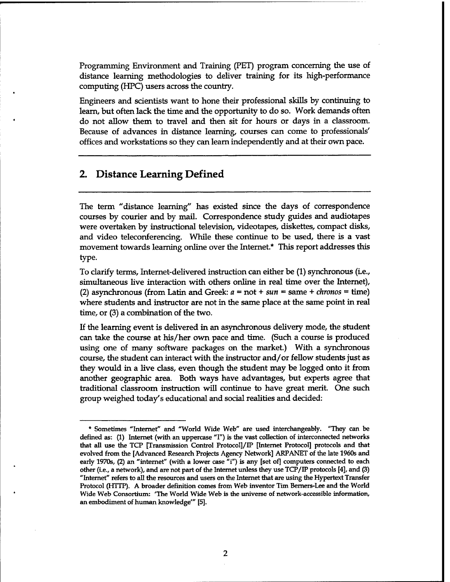Programming Environment and Training (PET) program concerning the use of distance learning methodologies to deliver training for its high-performance computing (HPC) users across the country.

Engineers and scientists want to hone their professional skills by continuing to learn, but often lack the time and the opportunity to do so. Work demands often do not allow them to travel and then sit for hours or days in a classroom. Because of advances in distance learning, courses can come to professionals' offices and workstations so they can learn independently and at their own pace.

#### 2. Distance Learning Defined

The term "distance learning" has existed since the days of correspondence courses by courier and by mail. Correspondence study guides and audiotapes were overtaken by instructional television, videotapes, diskettes, compact disks, and video teleconferencing. While these continue to be used, there is a vast movement towards learning online over the Internet\* This report addresses this type.

To clarify terms, Internet-delivered instruction can either be (1) synchronous (i.e., simultaneous live interaction with others online in real time over the Internet), (2) asynchronous (from Latin and Greek: *a* = not + *sun* = same + *chronos* = time) where students and instructor are not in the same place at the same point in real time, or (3) a combination of the two.

If the learning event is delivered in an asynchronous delivery mode, the student can take the course at his/her own pace and time. (Such a course is produced using one of many software packages on the market.) With a synchronous course, the student can interact with the instructor and/or fellow students just as they would in a live class, even though the student may be logged onto it from another geographic area. Both ways have advantages, but experts agree that traditional classroom instruction will continue to have great merit. One such group weighed today's educational and social realities and decided:

<sup>\*</sup> Sometimes "Internet" and "World Wide Web" are used interchangeably. "They can be defined as: (1) Internet (with an uppercase "I") is the vast collection of interconnected networks that all use the TCP [Transmission Control Protocol]/IP [Internet Protocol] protocols and that evolved from the [Advanced Research Projects Agency Network] ARPANET of the late 1960s and early 1970s, (2) an "internet" (with a lower case "i") is any [set of] computers connected to each other (i.e., a network), and are not part of the Internet unless they use TCP/IP protocols [4], and (3) "Internet" refers to all the resources and users on the Internet that are using the Hypertext Transfer Protocol (HTTP). A broader definition comes from Web inventor Tim Bemers-Lee and the World Wide Web Consortium: "The World Wide Web is the universe of network-accessible information, an embodiment of human knowledge'" [5].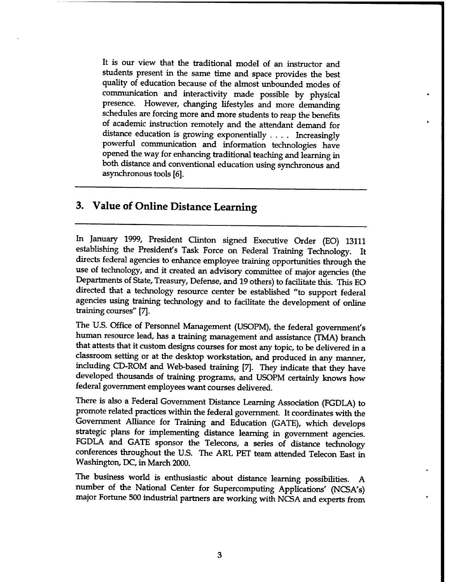It is our view that the traditional model of an instructor and students present in the same time and space provides the best quality of education because of the almost unbounded modes of communication and interactivity made possible by physical presence. However, changing lifestyles and more demanding schedules are forcing more and more students to reap the benefits of academic instruction remotely and the attendant demand for distance education is growing exponentially .... Increasingly powerful communication and information technologies have opened the way for enhancing traditional teaching and learning in both distance and conventional education using synchronous and asynchronous tools [6].

#### 3. Value of Online Distance Learning

In January 1999, President Clinton signed Executive Order (EO) 13111 establishing the President's Task Force on Federal Training Technology. It directs federal agencies to enhance employee training opportunities through the use of technology, and it created an advisory committee of major agencies (the Departments of State, Treasury, Defense, and 19 others) to facilitate this. This EO directed that a technology resource center be established "to support federal agencies using training technology and to facilitate the development of online training courses" [7].

The U.S. Office of Personnel Management (USOPM), the federal government's human resource lead, has a training management and assistance (TMA) branch that attests that it custom designs courses for most any topic, to be delivered in a classroom setting or at the desktop workstation, and produced in any manner, including CD-ROM and Web-based training [7]. They indicate that they have developed thousands of training programs, and USOPM certainly knows how federal government employees want courses delivered.

There is also a Federal Government Distance Learning Association (FGDLA) to promote related practices within the federal government. It coordinates with the Government Alliance for Training and Education (GATE), which develops strategic plans for implementing distance learning in government agencies. FGDLA and GATE sponsor the Telecons, a series of distance technology conferences throughout the U.S. The ARL PET team attended Telecon East in Washington, DC, in March 2000.

The business world is enthusiastic about distance learning possibilities. A number of the National Center for Supercomputing Applications' (NCSA's) major Fortune 500 industrial partners are working with NCSA and experts from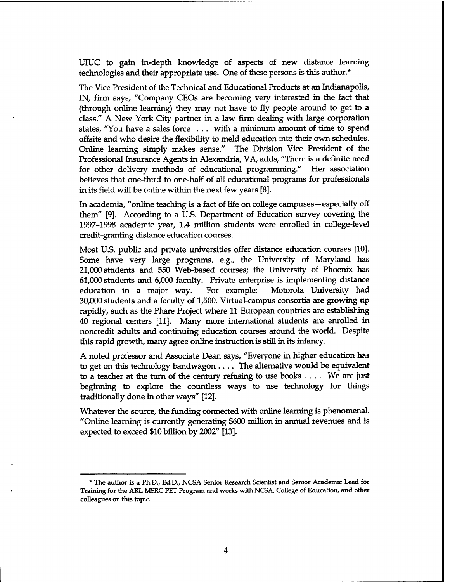UIUC to gain in-depth knowledge of aspects of new distance learning technologies and their appropriate use. One of these persons is this author.\*

The Vice President of the Technical and Educational Products at an Indianapolis, IN, firm says, "Company CEOs are becoming very interested in the fact that (through online learning) they may not have to fly people around to get to a class." A New York City partner in a law firm dealing with large corporation states, "You have a sales force . . . with a minimum amount of time to spend offsite and who desire the flexibility to meld education into their own schedules. Online learning simply makes sense." The Division Vice President of the Professional Insurance Agents in Alexandria, VA, adds, "There is a definite need for other delivery methods of educational programming." Her association believes that one-third to one-half of all educational programs for professionals in its field will be online within the next few years [8].

In academia, "online teaching is a fact of life on college campuses—especially off them" [9]. According to a U.S. Department of Education survey covering the 1997-1998 academic year, 1.4 million students were enrolled in college-level credit-granting distance education courses.

Most U.S. public and private universities offer distance education courses [10]. Some have very large programs, e.g., the University of Maryland has 21,000 students and 550 Web-based courses; the University of Phoenix has 61,000 students and 6,000 faculty. Private enterprise is implementing distance education in a major way. For example: Motorola University had 30,000 students and a faculty of 1,500. Virtual-campus consortia are growing up rapidly, such as the Phare Project where 11 European countries are establishing 40 regional centers [11]. Many more international students are enrolled in noncredit adults and continuing education courses around the world. Despite this rapid growth, many agree online instruction is still in its infancy.

A noted professor and Associate Dean says, "Everyone in higher education has to get on this technology bandwagon .... The alternative would be equivalent to <sup>a</sup> teacher at the turn of the century refusing to use books .... We are just beginning to explore the countless ways to use technology for things traditionally done in other ways" [12].

Whatever the source, the funding connected with online learning is phenomenal. "Online learning is currently generating \$600 million in annual revenues and is expected to exceed \$10 billion by 2002" [13].

<sup>\*</sup> The author is a Ph.D., Ed.D., NCSA Senior Research Scientist and Senior Academic Lead for Training for the ARL MSRC PET Program and works with NCSA, College of Education, and other colleagues on this topic.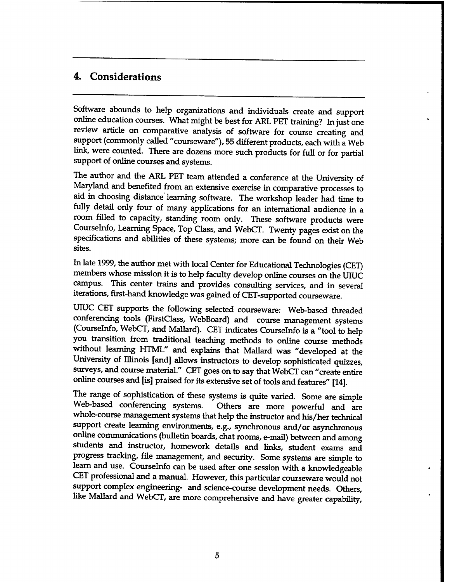#### 4. Considerations

Software abounds to help organizations and individuals create and support online education courses. What might be best for ARL PET training? In just one review article on comparative analysis of software for course creating and support (commonly called "courseware"), 55 different products, each with a Web link, were counted. There are dozens more such products for full or for partial support of online courses and systems.

The author and the ARL PET team attended a conference at the University of Maryland and benefited from an extensive exercise in comparative processes to aid in choosing distance learning software. The workshop leader had time to fully detail only four of many applications for an international audience in a room filled to capacity, standing room only. These software products were Courselnfo, Learning Space, Top Class, and WebCT. Twenty pages exist on the specifications and abilities of these systems; more can be found on their Web sites.

In late 1999, the author met with local Center for Educational Technologies (CET) members whose mission it is to help faculty develop online courses on the UIUC campus. This center trains and provides consulting services, and in several iterations, first-hand knowledge was gained of CET-supported courseware.

UIUC CET supports the following selected courseware: Web-based threaded conferencing tools (FirstClass, WebBoard) and course management systems (Courselnfo, WebCT, and Mallard). CET indicates Courselnfo is a "tool to help you transition from traditional teaching methods to online course methods without learning HTML" and explains that Mallard was "developed at the University of Illinois [and] allows instructors to develop sophisticated quizzes, surveys, and course material." CET goes on to say that WebCT can "create entire online courses and [is] praised for its extensive set of tools and features" [14].

The range of sophistication of these systems is quite varied. Some are simple Web-based conferencing systems. Others are more powerful and are whole-course management systems that help the instructor and his/her technical support create learning environments, e.g., synchronous and/or asynchronous online communications (bulletin boards, chat rooms, e-mail) between and among students and instructor, homework details and links, student exams and progress tracking, file management, and security. Some systems are simple to learn and use. Courselnfo can be used after one session with a knowledgeable CET professional and a manual. However, this particular courseware would not support complex engineering- and science-course development needs. Others, like Mallard and WebCT, are more comprehensive and have greater capability,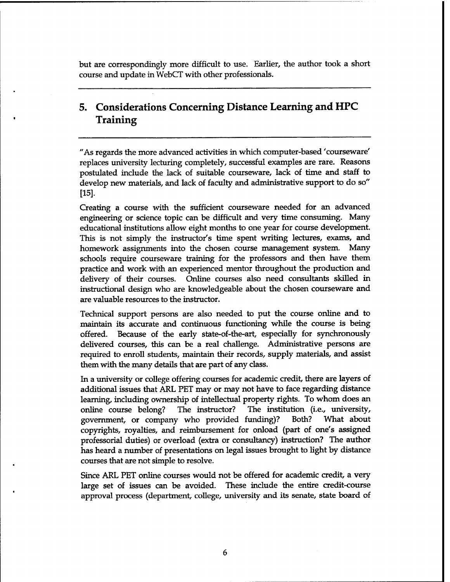but are correspondingly more difficult to use. Earlier, the author took a short course and update in WebCT with other professionals.

#### 5. Considerations Concerning Distance Learning and HPC Training

"As regards the more advanced activities in which computer-based 'courseware' replaces university lecturing completely, successful examples are rare. Reasons postulated include the lack of suitable courseware, lack of time and staff to develop new materials, and lack of faculty and administrative support to do so" [15].

Creating a course with the sufficient courseware needed for an advanced engineering or science topic can be difficult and very time consuming. Many educational institutions allow eight months to one year for course development. This is not simply the instructor's time spent writing lectures, exams, and homework assignments into the chosen course management system. Many schools require courseware training for the professors and then have them practice and work with an experienced mentor throughout the production and delivery of their courses. Online courses also need consultants skilled in instructional design who are knowledgeable about the chosen courseware and are valuable resources to the instructor.

Technical support persons are also needed to put the course online and to maintain its accurate and continuous functioning while the course is being offered. Because of the early state-of-the-art, especially for synchronously delivered courses, this can be a real challenge. Administrative persons are required to enroll students, maintain their records, supply materials, and assist themwith the many details that are part of any class.

In a university or college offering courses for academic credit, there are layers of additional issues that ARL PET may or may not have to face regarding distance learning, including ownership of intellectual property rights. To whom does an online course belong? The instructor? The institution (i.e., university, government, or company who provided funding)? Both? What about copyrights, royalties, and reimbursement for onload (part of one's assigned professorial duties) or overload (extra or consultancy) instruction? The author has heard a number of presentations on legal issues brought to light by distance courses that are not simple to resolve.

Since ARL PET online courses would not be offered for academic credit, a very large set of issues can be avoided. These include the entire credit-course approval process (department, college, university and its senate, state board of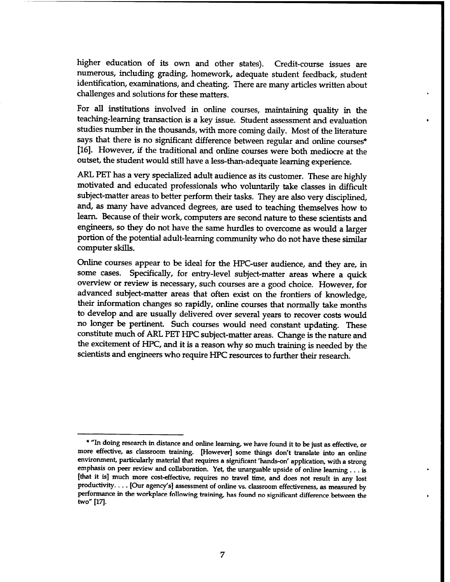higher education of its own and other states). Credit-course issues are numerous, including grading, homework, adequate student feedback, student identification, examinations, and cheating. There are many articles written about challenges and solutions for these matters.

For all institutions involved in online courses, mamtaining quality in the teaching-learning transaction is a key issue. Student assessment and evaluation studies number in the thousands, with more coming daily. Most of the literature says that there is no significant difference between regular and online courses\* [16]. However, if the traditional and online courses were both mediocre at the outset, the student would still have a less-than-adequate learning experience.

ARL PET has a very specialized adult audience as its customer. These are highly motivated and educated professionals who voluntarily take classes in difficult subject-matter areas to better perform their tasks. They are also very disciplined, and, as many have advanced degrees, are used to teaching themselves how to learn. Because of their work, computers are second nature to these scientists and engineers, so they do not have the same hurdles to overcome as would a larger portion of the potential adult-learning community who do not have these similar computer skills.

Online courses appear to be ideal for the HPC-user audience, and they are, in some cases. Specifically, for entry-level subject-matter areas where a quick overview or review is necessary, such courses are a good choice. However, for advanced subject-matter areas that often exist on the frontiers of knowledge, their information changes so rapidly, online courses that normally take months to develop and are usually delivered over several years to recover costs would no longer be pertinent. Such courses would need constant updating. These constitute much of ARL PET HPC subject-matter areas. Change is the nature and the excitement of HPC, and it is a reason why so much training is needed by the scientists and engineers who require HPC resources to further their research.

<sup>\*</sup> "In doing research in distance and online learning, we have found it to be just as effective, or more effective, as classroom training. [However] some things don't translate into an online environment, particularly material that requires a significant 'hands-on' application, with a strong emphasis on peer review and collaboration. Yet, the unarguable upside of online learning ... is [that it is] much more cost-effective, requires no travel time, and does not result in any lost productivity. . . . [Our agency's] assessment of online vs. classroom effectiveness, as measured by performance in the workplace following training, has found no significant difference between the two" [17].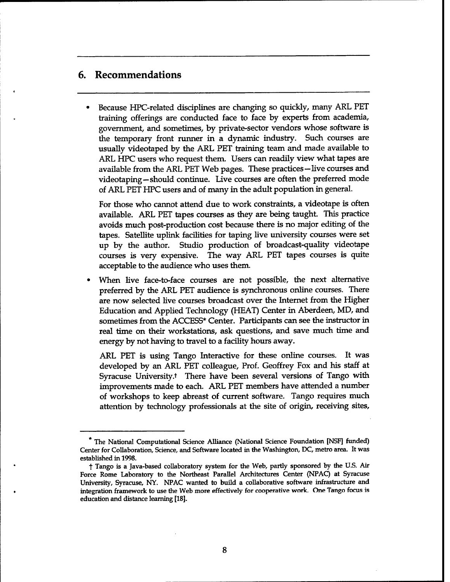#### 6. Recommendations

Because HPC-related disciplines are changing so quickly, many ARL PET training offerings are conducted face to face by experts from academia, government, and sometimes, by private-sector vendors whose software is the temporary front runner in a dynamic industry. Such courses are usually videotaped by the ARL PET training team and made available to ARL HPC users who request them. Users can readily view what tapes are available from the ARL PET Web pages. These practices-live courses and videotaping—should continue. Live courses are often the preferred mode of ARL PET HPC users and of many in the adult population in general.

For those who cannot attend due to work constraints, a videotape is often available. ARL PET tapes courses as they are being taught. This practice avoids much post-production cost because there is no major editing of the tapes. Satellite uplink facilities for taping live university courses were set up by the author. Studio production of broadcast-quality videotape courses is very expensive. The way ARL PET tapes courses is quite acceptable to the audience who uses them.

When live face-to-face courses are not possible, the next alternative preferred by the ARL PET audience is synchronous online courses. There are now selected live courses broadcast over the Internet from the Higher Education and Applied Technology (HEAT) Center in Aberdeen, MD, and sometimes from the ACCESS\* Center. Participants can see the instructor in real time on their workstations, ask questions, and save much time and energy by not having to travel to a facility hours away.

ARL PET is using Tango Interactive for these online courses. It was developed by an ARL PET colleague, Prof. Geoffrey Fox and his staff at Syracuse University.<sup>†</sup> There have been several versions of Tango with improvements made to each. ARL PET members have attended a number of workshops to keep abreast of current software. Tango requires much attention by technology professionals at the site of origin, receiving sites,

<sup>\*</sup> The National Computational Science Alliance (National Science Foundation [NSF] funded) Center for Collaboration, Science, and Software located in the Washington, DC, metro area. It was established in 1998.

t Tango is <sup>a</sup> Java-based collaboratory system for the Web, partly sponsored by the U.S. Air Force Rome Laboratory to the Northeast Parallel Architectures Center (NPAC) at Syracuse University, Syracuse, NY. NPAC wanted to build a collaborative software infrastructure and integration framework to use the Web more effectively for cooperative work. One Tango focus is education and distance learning [18].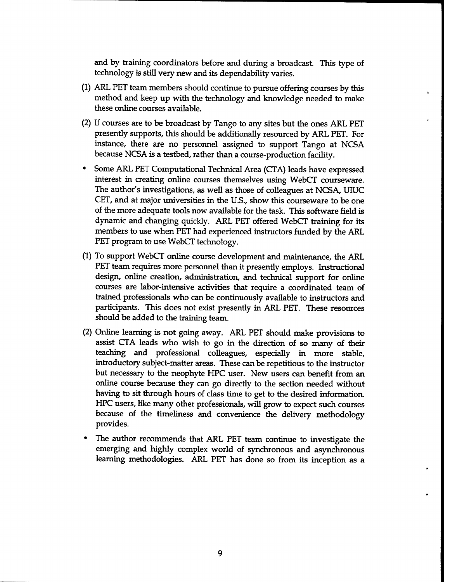and by training coordinators before and during a broadcast. This type of technology is still very new and its dependability varies.

- (1) ARL PET team members should continue to pursue offering courses by this method and keep up with the technology and knowledge needed to make these online courses available.
- (2) If courses are to be broadcast by Tango to any sites but the ones ARL PET presently supports, this should be additionally resourced by ARL PET. For instance, there are no personnel assigned to support Tango at NCSA because NCSA is a testbed, rather than a course-production facility.
- Some ARL PET Computational Technical Area (CTA) leads have expressed interest in creating online courses themselves using WebCT courseware. The author's investigations, as well as those of colleagues at NCSA, UTUC CET, and at major universities in the U.S., show this courseware to be one of the more adequate tools now available for the task. This software field is dynamic and changing quickly. ARL PET offered WebCT training for its members to use when PET had experienced instructors funded by the ARL PET program to use WebCT technology.
- (1) To support WebCT online course development and maintenance, the ARL PET team requires more personnel than it presently employs. Instructional design, online creation, administration, and technical support for online courses are labor-intensive activities that require a coordinated team of trained professionals who can be continuously available to instructors and participants. This does not exist presently in ARL PET. These resources should be added to the training team.
- (2) Online learning is not going away. ARL PET should make provisions to assist CTA leads who wish to go in the direction of so many of their teaching and professional colleagues, especially in more stable, introductory subject-matter areas. These can be repetitious to the instructor but necessary to the neophyte HPC user. New users can benefit from an online course because they can go directly to the section needed without having to sit through hours of class time to get to the desired information. HPC users, like many other professionals, will grow to expect such courses because of the timeliness and convenience the delivery methodology provides.
- The author recommends that ARL PET team continue to investigate the emerging and highly complex world of synchronous and asynchronous learning methodologies. ARL PET has done so from its inception as a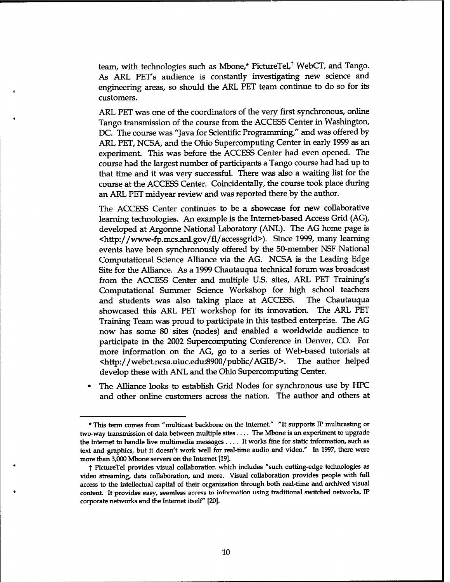team, with technologies such as Mbone,\* PictureTel,<sup>†</sup> WebCT, and Tango. As ARL PET's audience is constantly investigating new science and engineering areas, so should the ARL PET team continue to do so for its customers.

ARL PET was one of the coordinators of the very first synchronous, online Tango transmission of the course from the ACCESS Center in Washington, DC. The course was "Java for Scientific Programming,'' and was offered by ARL PET, NCSA, and the Ohio Supercomputing Center in early 1999 as an experiment. This was before the ACCESS Center had even opened. The course had the largest number of participants a Tango course had had up to that time and it was very successful. There was also a waiting list for the course at the ACCESS Center. Coincidentally, the course took place during an ARL PET midyear review and was reported there by the author.

The ACCESS Center continues to be a showcase for new collaborative learning technologies. An example is the Internet-based Access Grid (AG), developed at Argonne National Laboratory (ANL). The AG home page is <http://www-fp.mcs.anl.gov/fl/accessgrid>). Since 1999, many learning events have been synchronously offered by the 50-member NSF National Computational Science Alliance via the AG. NCSA is the Leading Edge Site for the Alliance. As a 1999 Chautauqua technical forum was broadcast from the ACCESS Center and multiple U.S. sites, ARL PET Training's Computational Summer Science Workshop for high school teachers and students was also taking place at ACCESS. The Chautauqua showcased this ARL PET workshop for its innovation. The ARL PET Training Team was proud to participate in this testbed enterprise. The AG now has some 80 sites (nodes) and enabled a worldwide audience to participate in the 2002 Supercomputing Conference in Denver, CO. For more information on the AG, go to a series of Web-based tutorials at <http://webct.ncsa.uiuc.edu:8900/public/AGIB/>. The author helped develop these with ANL and the Ohio Supercomputing Center.

The Alliance looks to establish Grid Nodes for synchronous use by HPC and other online customers across the nation. The author and others at

<sup>\*</sup> This term comes from "multicast backbone on the Internet." "It supports IP multicasting or two-way transmission of data between multiple sites .... The Mbone is an experiment to upgrade the Internet to handle live multimedia messages .... It works fine for static information, such as text and graphics, but it doesn't work well for real-time audio and video." In 1997, there were more than 3,000 Mbone servers on the Internet [19].

t PictureTel provides visual collaboration which includes "such cutting-edge technologies as video streaming, data collaboration, and more. Visual collaboration provides people with full access to the intellectual capital of their organization through both real-time and archived visual content. It provides easy, seamless access to information using traditional switched networks, IP corporate networks and the Internet itself" [20].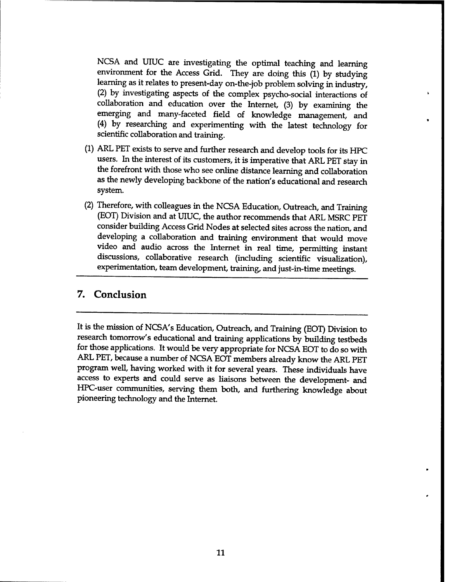NCSA and UIUC are investigating the optimal teaching and learning environment for the Access Grid. They are doing this (1) by studying learning as it relates to present-day on-the-job problem solving in industry, (2) by investigating aspects of the complex psycho-social interactions of collaboration and education over the Internet, (3) by examining the emerging and many-faceted field of knowledge management, and (4) by researching and experimenting with the latest technology for scientific collaboration and training.

- (1) ARL PET exists to serve and further research and develop tools for its HPC users. In the interest of its customers, it is imperative that ARL PET stay in the forefront with those who see online distance learning and collaboration as the newly developing backbone of the nation's educational and research system.
- (2) Therefore, with colleagues in the NCSA Education, Outreach, and Training (EOT) Division and at UIUC, the author recommends that ARL MSRC PET consider building Access Grid Nodes at selected sites across the nation, and developing a collaboration and training environment that would move video and audio across the Internet in real time, permitting instant discussions, collaborative research (including scientific visualization), experimentation, team development, training, and just-in-time meetings.

#### 7. Conclusion

It is the mission of NCSA's Education, Outreach, and Training (EOT) Division to research tomorrow's educational and training applications by building testbeds for those applications. It would be very appropriate for NCSA EOT to do so with ARL PET, because a number of NCSA EOT members already know the ARL PET program well, having worked with it for several years. These individuals have access to experts and could serve as liaisons between the development- and HPC-user communities, serving them both, and furthering knowledge about pioneering technology and the Internet.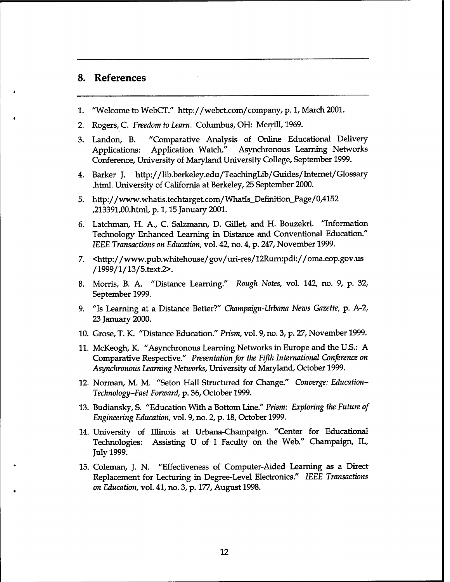#### 8. References

- 1. "Welcome to WebCT." http://webct.com/company, p. 1, March 2001.
- 2. Rogers, C. *Freedom to Learn.* Columbus, OH: Merrill, 1969.
- 3. Landon, B. "Comparative Analysis of Online Educational Delivery Applications: Application Watch." Asynchronous Learning Networks Conference, University of Maryland University College, September 1999.
- 4. Barker J. http://Hb.berkeley.edu/Teachinglib/Guides/Internet/Glossary .html. University of California at Berkeley, 25 September 2000.
- 5. http://www.whatis.tecb.target.com/WhatIs\_Definition\_Page/0,4152 ,213391,00.html, p. 1,15 January 2001.
- 6. Latchman, H. A., C. Salzmann, D. Gillet, and H. Bouzekri. "Information Technology Enhanced Learning in Distance and Conventional Education." *IEEE Transactions on Education,* vol. 42, no. 4, p. 247, November 1999.
- 7. <http://www.pub.whitehouse/gov/uri-res/12Rurn:pdi://oma.eop.gov.us /1999/l/13/5.text.2>.
- 8. Morris, B. A. "Distance Learning." *Rough Notes,* vol. 142, no. 9, p. 32, September 1999.
- 9. "Is Learning at a Distance Better?" *Champaign-Urbana News Gazette,* p. A-2, 23 January 2000.
- 10. Grose, T. K. "Distance Education." *Prism,* vol. 9, no. 3, p. 27, November 1999.
- 11. McKeogh, K. "Asynchronous Learning Networks in Europe and the U.S.: A Comparative Respective." *Presentation for the Fifth International Conforence on Asynchronous Learning Networks,* University of Maryland, October 1999.
- 12. Norman, M. M. "Seton Hall Structured for Change." *Converge: Education-Technology-Fast Forward,* p. 36, October 1999.
- 13. Budiansky,S. "Education With a Bottom Line." *Prism: Exploring the Future of Engineering Education,* vol. 9, no. 2, p. 18, October 1999.
- 14. University of Illinois at Urbana-Champaign. "Center for Educational Technologies: Assisting U of I Faculty on the Web." Champaign, IL, July 1999.
- 15. Coleman, J. N. "Effectiveness of Computer-Aided Learning as a Direct Replacement for Lecturing in Degree-Level Electronics." *IEEE Transactions on Education,* vol. 41, no. 3, p. 177, August 1998.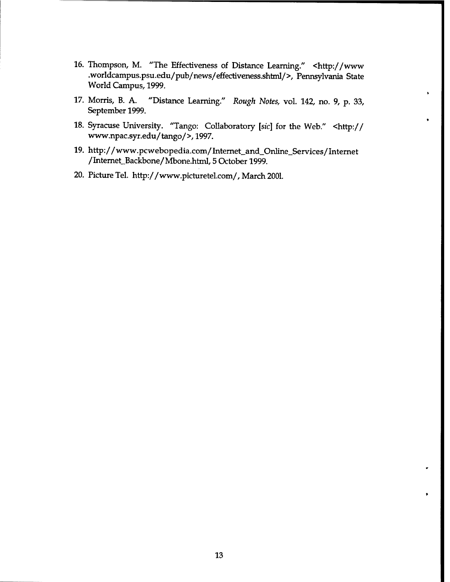- 16. Thompson, M. "The Effectiveness of Distance Learning." <http://www .worldcampus.psu.edu/pub/news/effectiveness.shtml/>, Pennsylvania State World Campus, 1999.
- 17. Morris, B. A. "Distance Learning." *Rough Notes,* vol. 142, no. 9, p. 33, September 1999.
- 18. Syracuse University. "Tango: Collaboratory *[sic]* for the Web." <http:// www.npac.syr.edu/tango/>, 1997.
- 19. http://www.pcwebopedia.com/Internet\_and\_Online\_Services/Internet /mtemet\_Backbone/Mbone.html, 5 October 1999.
- 20. Picture Tel. http://www.picturetel.com/, March 2001.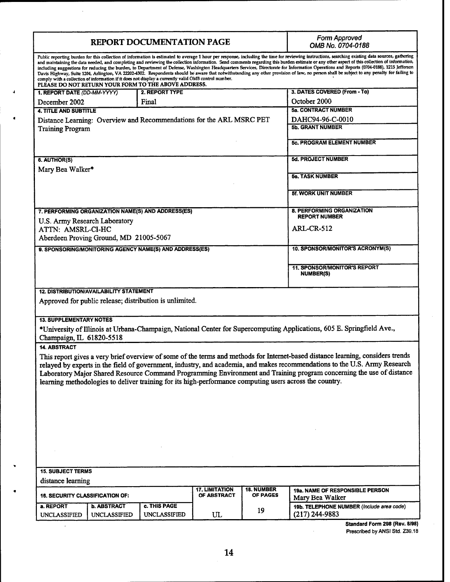| <b>REPORT DOCUMENTATION PAGE</b>                                                                                                                                                                                                                                                                                                                                                                                                                                                                                                                                                                                                                                                                                                                                                                                                                                                                                                                              |                                           |                                     |                                      | Form Approved<br>OMB No. 0704-0188   |                                                               |  |  |  |  |
|---------------------------------------------------------------------------------------------------------------------------------------------------------------------------------------------------------------------------------------------------------------------------------------------------------------------------------------------------------------------------------------------------------------------------------------------------------------------------------------------------------------------------------------------------------------------------------------------------------------------------------------------------------------------------------------------------------------------------------------------------------------------------------------------------------------------------------------------------------------------------------------------------------------------------------------------------------------|-------------------------------------------|-------------------------------------|--------------------------------------|--------------------------------------|---------------------------------------------------------------|--|--|--|--|
| Public reporting burden for this collection of information is estimated to average 1 hour per response, including the time for reviewing instructions, searching existing data sources, gathering<br>and maintaining the data needed, and completing and reviewing the collection information. Send comments regarding this burden estimate or any other aspect of this collection of information,<br>including suggestions for reducing the burden, to Department of Defense, Washington Headquarters Services, Directorate for Information Operations and Reports (0704-0188), 1215 Jefferson<br>Davis Highway, Suite 1204, Arlington, VA 22202-4302. Respondents should be aware that notwithstanding any other provision of law, no person shall be subject to any penalty for failing to<br>comply with a collection of information if it does not display a currently valid OMB control number.<br>PLEASE DO NOT RETURN YOUR FORM TO THE ABOVE ADDRESS. |                                           |                                     |                                      |                                      |                                                               |  |  |  |  |
| 1. REPORT DATE (DD-MM-YYYY)                                                                                                                                                                                                                                                                                                                                                                                                                                                                                                                                                                                                                                                                                                                                                                                                                                                                                                                                   |                                           | 2. REPORT TYPE                      |                                      |                                      | 3. DATES COVERED (From - To)                                  |  |  |  |  |
| December 2002                                                                                                                                                                                                                                                                                                                                                                                                                                                                                                                                                                                                                                                                                                                                                                                                                                                                                                                                                 |                                           | Final                               |                                      |                                      | October 2000                                                  |  |  |  |  |
| <b>4. TITLE AND SUBTITLE</b>                                                                                                                                                                                                                                                                                                                                                                                                                                                                                                                                                                                                                                                                                                                                                                                                                                                                                                                                  |                                           |                                     |                                      |                                      | <b>5a. CONTRACT NUMBER</b>                                    |  |  |  |  |
| Distance Learning: Overview and Recommendations for the ARL MSRC PET<br><b>Training Program</b>                                                                                                                                                                                                                                                                                                                                                                                                                                                                                                                                                                                                                                                                                                                                                                                                                                                               |                                           |                                     |                                      | DAHC94-96-C-0010<br>5b. GRANT NUMBER |                                                               |  |  |  |  |
|                                                                                                                                                                                                                                                                                                                                                                                                                                                                                                                                                                                                                                                                                                                                                                                                                                                                                                                                                               |                                           |                                     |                                      | 5c. PROGRAM ELEMENT NUMBER           |                                                               |  |  |  |  |
| 6. AUTHOR(S)                                                                                                                                                                                                                                                                                                                                                                                                                                                                                                                                                                                                                                                                                                                                                                                                                                                                                                                                                  |                                           |                                     |                                      |                                      | 5d. PROJECT NUMBER                                            |  |  |  |  |
| Mary Bea Walker*                                                                                                                                                                                                                                                                                                                                                                                                                                                                                                                                                                                                                                                                                                                                                                                                                                                                                                                                              |                                           |                                     |                                      |                                      | 5e. TASK NUMBER                                               |  |  |  |  |
|                                                                                                                                                                                                                                                                                                                                                                                                                                                                                                                                                                                                                                                                                                                                                                                                                                                                                                                                                               |                                           |                                     |                                      | 5f. WORK UNIT NUMBER                 |                                                               |  |  |  |  |
| 7. PERFORMING ORGANIZATION NAME(S) AND ADDRESS(ES)<br>U.S. Army Research Laboratory                                                                                                                                                                                                                                                                                                                                                                                                                                                                                                                                                                                                                                                                                                                                                                                                                                                                           |                                           |                                     |                                      |                                      | <b>8. PERFORMING ORGANIZATION</b><br><b>REPORT NUMBER</b>     |  |  |  |  |
| ATTN: AMSRL-CI-HC<br>Aberdeen Proving Ground, MD 21005-5067                                                                                                                                                                                                                                                                                                                                                                                                                                                                                                                                                                                                                                                                                                                                                                                                                                                                                                   |                                           |                                     |                                      | <b>ARL-CR-512</b>                    |                                                               |  |  |  |  |
| 9. SPONSORING/MONITORING AGENCY NAME(S) AND ADDRESS(ES)                                                                                                                                                                                                                                                                                                                                                                                                                                                                                                                                                                                                                                                                                                                                                                                                                                                                                                       |                                           |                                     |                                      |                                      | 10. SPONSOR/MONITOR'S ACRONYM(S)                              |  |  |  |  |
|                                                                                                                                                                                                                                                                                                                                                                                                                                                                                                                                                                                                                                                                                                                                                                                                                                                                                                                                                               |                                           |                                     |                                      |                                      |                                                               |  |  |  |  |
|                                                                                                                                                                                                                                                                                                                                                                                                                                                                                                                                                                                                                                                                                                                                                                                                                                                                                                                                                               |                                           |                                     |                                      |                                      | <b>11. SPONSOR/MONITOR'S REPORT</b><br><b>NUMBER(S)</b>       |  |  |  |  |
| <b>12. DISTRIBUTION/AVAILABILITY STATEMENT</b><br>Approved for public release; distribution is unlimited.                                                                                                                                                                                                                                                                                                                                                                                                                                                                                                                                                                                                                                                                                                                                                                                                                                                     |                                           |                                     |                                      |                                      |                                                               |  |  |  |  |
| <b>13. SUPPLEMENTARY NOTES</b>                                                                                                                                                                                                                                                                                                                                                                                                                                                                                                                                                                                                                                                                                                                                                                                                                                                                                                                                |                                           |                                     |                                      |                                      |                                                               |  |  |  |  |
| *University of Illinois at Urbana-Champaign, National Center for Supercomputing Applications, 605 E. Springfield Ave.,<br>Champaign, IL 61820-5518                                                                                                                                                                                                                                                                                                                                                                                                                                                                                                                                                                                                                                                                                                                                                                                                            |                                           |                                     |                                      |                                      |                                                               |  |  |  |  |
| <b>14. ABSTRACT</b>                                                                                                                                                                                                                                                                                                                                                                                                                                                                                                                                                                                                                                                                                                                                                                                                                                                                                                                                           |                                           |                                     |                                      |                                      |                                                               |  |  |  |  |
| This report gives a very brief overview of some of the terms and methods for Internet-based distance learning, considers trends<br>relayed by experts in the field of government, industry, and academia, and makes recommendations to the U.S. Army Research<br>Laboratory Major Shared Resource Command Programming Environment and Training program concerning the use of distance<br>learning methodologies to deliver training for its high-performance computing users across the country.                                                                                                                                                                                                                                                                                                                                                                                                                                                              |                                           |                                     |                                      |                                      |                                                               |  |  |  |  |
|                                                                                                                                                                                                                                                                                                                                                                                                                                                                                                                                                                                                                                                                                                                                                                                                                                                                                                                                                               |                                           |                                     |                                      |                                      |                                                               |  |  |  |  |
|                                                                                                                                                                                                                                                                                                                                                                                                                                                                                                                                                                                                                                                                                                                                                                                                                                                                                                                                                               |                                           |                                     |                                      |                                      |                                                               |  |  |  |  |
|                                                                                                                                                                                                                                                                                                                                                                                                                                                                                                                                                                                                                                                                                                                                                                                                                                                                                                                                                               |                                           |                                     |                                      |                                      |                                                               |  |  |  |  |
|                                                                                                                                                                                                                                                                                                                                                                                                                                                                                                                                                                                                                                                                                                                                                                                                                                                                                                                                                               |                                           |                                     |                                      |                                      |                                                               |  |  |  |  |
| <b>15. SUBJECT TERMS</b>                                                                                                                                                                                                                                                                                                                                                                                                                                                                                                                                                                                                                                                                                                                                                                                                                                                                                                                                      |                                           |                                     |                                      |                                      |                                                               |  |  |  |  |
| distance learning                                                                                                                                                                                                                                                                                                                                                                                                                                                                                                                                                                                                                                                                                                                                                                                                                                                                                                                                             |                                           |                                     |                                      |                                      |                                                               |  |  |  |  |
| <b>16. SECURITY CLASSIFICATION OF:</b>                                                                                                                                                                                                                                                                                                                                                                                                                                                                                                                                                                                                                                                                                                                                                                                                                                                                                                                        |                                           |                                     | <b>17. LIMITATION</b><br>OF ABSTRACT | 18. NUMBER<br>OF PAGES               | 19a. NAME OF RESPONSIBLE PERSON<br>Mary Bea Walker            |  |  |  |  |
| a. REPORT<br><b>UNCLASSIFIED</b>                                                                                                                                                                                                                                                                                                                                                                                                                                                                                                                                                                                                                                                                                                                                                                                                                                                                                                                              | <b>b. ABSTRACT</b><br><b>UNCLASSIFIED</b> | c. THIS PAGE<br><b>UNCLASSIFIED</b> | UL                                   | 19                                   | 19b. TELEPHONE NUMBER (Include area code)<br>$(217)$ 244-9883 |  |  |  |  |
|                                                                                                                                                                                                                                                                                                                                                                                                                                                                                                                                                                                                                                                                                                                                                                                                                                                                                                                                                               |                                           |                                     |                                      |                                      | Standard Form 298 (Rev. 8/98)                                 |  |  |  |  |

 $\mathbb{I}$ 

**Standard Form 298 (Rev. 8/98)**

**Prescribed by ANSI Std. Z39.18**